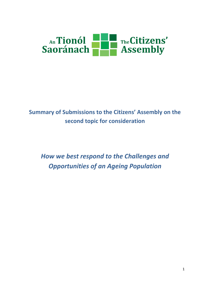

# **Summary of Submissions to the Citizens' Assembly on the second topic for consideration**

*How we best respond to the Challenges and Opportunities of an Ageing Population*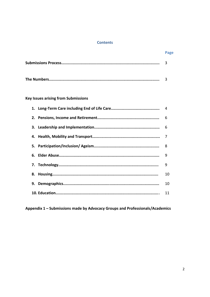#### **Contents**

| Page |
|------|
|      |
|      |

# **Key Issues arising from Submissions**

|    | 9  |
|----|----|
|    | 9  |
|    | 10 |
| 9. | 10 |
|    | 11 |

Appendix 1 - Submissions made by Advocacy Groups and Professionals/Academics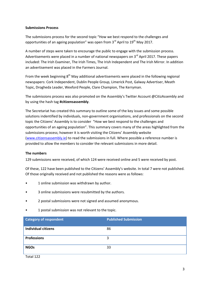#### **Submissions Process**

The submissions process for the second topic "How we best respond to the challenges and opportunities of an ageing population" was open from  $3<sup>rd</sup>$  April to  $19<sup>th</sup>$  May 2017.

A number of steps were taken to encourage the public to engage with the submission process. Advertisements were placed in a number of national newspapers on  $3<sup>rd</sup>$  April 2017. These papers included: The Irish Examiner, The Irish Times, The Irish Independent and The Irish Mirror. In addition an advertisement was placed in the Farmers Journal.

From the week beginning 8<sup>th</sup> May additional advertisements were placed in the following regional newspapers: Cork Independent, Dublin People Group, Limerick Post, Galway Advertiser, Meath Topic, Drogheda Leader, Wexford People, Clare Champion, The Kerryman.

The submissions process was also promoted on the Assembly's Twitter Account @CitizAssembly and by using the hash tag **#citizensassembly**.

The Secretariat has created this summary to outline some of the key issues and some possible solutions indentified by individuals, non-government organisations, and professionals on the second topic the Citizens' Assembly is to consider "How we best respond to the challenges and opportunities of an ageing population". This summary covers many of the areas highlighted from the submissions process; however it is worth visiting the Citizens' Assembly website [\(www.citizensassembly.ie\)](http://www.citizensassembly.ie/) to read the submissions in full. Where possible a reference number is provided to allow the members to consider the relevant submissions in more detail.

## **The numbers**

129 submissions were received, of which 124 were received online and 5 were received by post.

Of these, 122 have been published to the Citizens' Assembly's website. In total 7 were not published. Of those originally received and not published the reasons were as follows:

- 1 online submission was withdrawn by author.
- 3 online submissions were resubmitted by the authors.
- 2 postal submissions were not signed and assumed anonymous.
- 1 postal submission was not relevant to the topic.

| <b>Category of respondent</b> | <b>Published Submission</b> |
|-------------------------------|-----------------------------|
| <b>Individual citizens</b>    | 86                          |
| <b>Professions</b>            | 3                           |
| <b>NGOs</b>                   | 33                          |

Total 122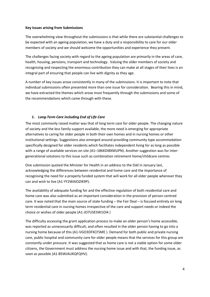#### **Key Issues arising from Submissions**

The overwhelming view throughout the submissions is that while there are substantial challenges to be expected with an ageing population, we have a duty and a responsibility to care for our older members of society and we should welcome the opportunities and experience they present.

The challenges facing society with regard to the ageing population are primarily in the areas of care, health, housing, pensions, transport and technology. Valuing the older members of society and recognising and respecting the enormous contribution they can make at all stages of their lives is an integral part of ensuring that people can live with dignity as they age.

A number of key issues arose consistently in many of the submissions. It is important to note that individual submissions often presented more than one issue for consideration. Bearing this in mind, we have extracted the themes which arose most frequently through the submissions and some of the recommendations which came through with these.

# *1. Long-Term Care including End of Life Care*

The most commonly raised matter was that of long term care for older people. The changing nature of society and the less family support available, the more need is emerging for appropriate alternatives to caring for older people in both their own homes and in nursing homes or other institutional settings. Suggestions also emerged around providing community type accommodation specifically designed for older residents which facilitates independent living for as long as possible with a range of available services on site (A1–186KDI8XMUPN). Another suggestion was for intergenerational solutions to this issue such as combination retirement home/childcare centres

One submission quoted the Minister for Health in an address to the Dáil in January last, acknowledging the differences between residential and home care and the importance of recognising the need for a properly funded system that will work for all older people wherever they can and wish to live (A1-YY2WAIOZIK9P).

The availability of adequate funding for and the effective regulation of both residential care and home care was also submitted as an important consideration in the provision of person-centred care. It was noted that the main source of state funding – the Fair Deal – is focused entirely on long term residential care in nursing homes irrespective of the care and support needs or indeed the choice or wishes of older people (A1-JO7USESW1OI4 )

The difficulty accessing the grant application process to make an older person's home accessible, was reported as unnecessarily difficult, and often resulted in the older person having to go into a nursing home because of this (A1-VGO3DFXCFSME ). Demand for both public and private nursing care, public hospital and community care for older people means that the services for this group are constantly under pressure. It was suggested that as home care is not a viable option for some older citizens, the Government must address the nursing home issue and with that, the funding issue, as soon as possible (A1-B5WJAUKQFQHV).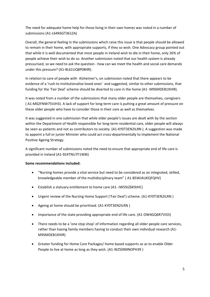The need for adequate home help for those living in their own homes was noted in a number of submissions (A1-L64K6GT361ZA)

Overall, the general feeling in the submissions which raise this issue is that people should be allowed to remain in their home, with appropriate supports, if they so wish. One Advocacy group pointed out that while it is well documented that most people in Ireland wish to die in their home, only 26% of people achieve their wish to do so. Another submission noted that our health system is already pressurised, so we need to ask the question - how can we meet the health and social care demands under this pressure? (A1-8L61UQ8P0B4R).

In relation to care of people with Alzheimer's, on submission noted that there appears to be evidence of a 'rush to institutionalise loved ones' and suggested, similar to other submissions, that funding for the 'Fair Deal' scheme should be diverted to care in the home (A1- M9SMDEB1XHIR).

It was noted from a number of the submissions that many older people are themselves, caregivers ( A1-M02FNW75VJH3). A lack of support for long-term care is putting a great amount of pressure on these older people who have to consider those in their care as well as themselves.

It was suggested in one submission that while older people's issues are dealt with by the section within the Department of Health responsible for long-term residential care, older people will always be seen as patients and not as contributors to society. (A1-KY0T3EN2ILRN ). A suggestion was made to appoint a full or junior Minister who could act cross-departmentally to implement the National Positive Ageing Strategy.

A significant number of submissions noted the need to ensure that appropriate end of life care is provided in Ireland (A1-924TNU7F1W8I)

## **Some recommendations included:**

- "Nursing homes provide a vital service but need to be considered as an integrated, skilled, knowledgeable member of the multidisciplinary team" ( A1-B5WJAUKQFQHV)
- Establish a statuary entitlement to home care (A1- JW59JZ6K9JHC)
- Urgent review of the Nursing Home Support ('Fair Deal') scheme. (A1-KY0T3EN2ILRN )
- Ageing at home should be prioritised. (A1-KY0T3EN2ILRN )
- Importance of the state providing appropriate end of life care. (A1-OW4GQ6R7VI33)
- There needs to be a 'one stop shop' of information regarding all older people care services, rather than having family members having to conduct their own individual research (A1- M9SMDEB1XHIR)
- Greater funding for Home Care Packages/ home based supports so as to enable Older People to live at home as long as they wish. (A1-WZ50N9NOPH39 )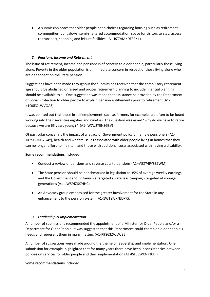A submission notes that older people need choices regarding housing such as retirement communities, bungalows, semi-sheltered accommodation, space for visitors to stay, access to transport, shopping and leisure facilities. (A1-BZ7AMKDEEEKJ )

## *2. Pensions, Income and Retirement*

The issue of retirement, income and pensions is of concern to older people, particularly those living alone. Poverty in the older population is of immediate concern in respect of those living alone who are dependent on the State pension.

Suggestions have been made throughout the submissions received that the compulsory retirement age should be abolished or raised and proper retirement planning to include financial planning should be available to all. One suggestion was made that assistance be provided by the Department of Social Protection to older people to explain pension entitlements prior to retirement (A1- K1O6EOLWVQAZ).

It was pointed out that those in self employment, such as farmers for example, are often to be found working into their seventies eighties and nineties. The question was asked "why do we have to retire because we are 65 years young?" (A1-IW7U2TENSG3V)

Of particular concern is the impact of a legacy of Government policy on female pensioners (A1- YK29GRHG2G4Y), health and welfare issues associated with older people living in homes that they can no longer afford to maintain and those with additional costs associated with having a disability.

#### **Some recommendations included:**

- Conduct a review of pensions and reverse cuts to pensions (A1–VGZ74FY8Z9WM).
- The State pension should be benchmarked in legislation as 35% of average weekly earnings, and the Government should launch a targeted awareness campaign targeted at younger generations (A1- JW59JZ6K9JHC).
- An Advocacy group emphasised for the greater involvement for the State in any enhancement to the pension system (A1-1WTSKJXNJDPR).

## *3. Leadership & Implementation*

A number of submissions recommended the appointment of a Minister for Older People and/or a Department for Older People. It was suggested that this Department could champion older people's needs and represent them in many matters (A1-P9863ZVJLW8E).

A number of suggestions were made around the theme of leadership and implementation. One submission for example, highlighted that for many years there have been inconsistencies between policies on services for older people and their implementation (A1-JSL53WKNY30D ).

## **Some recommendations included:**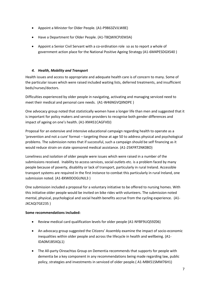- Appoint a Minister for Older People. (A1-P9863ZVJLW8E)
- Have a Department for Older People. (A1-T8QWXCPJEM3A)
- Appoint a Senior Civil Servant with a co-ordination role so as to report a whole of government action place for the National Positive Ageing Strategy (A1-6M4PESDGXS40 )

## *4. Health, Mobility and Transport*

Health issues and access to appropriate and adequate health care is of concern to many. Some of the particular issues which were raised included waiting lists, deferred treatments, and insufficient beds/nurses/doctors.

Difficulties experienced by older people in navigating, activating and managing serviced need to meet their medical and personal care needs. (A1-W46NGVQXNDPE )

One advocacy group noted that statistically women have a longer life than men and suggested that it is important for policy makers and service providers to recognise both gender differences and impact of ageing on one's health. (A1-XM4S1CAGFV0J)

Proposal for an extensive and intensive educational campaign regarding health to operate as a 'prevention and not a cure' format – targeting those at age 50 to address physical and psychological problems. The submission notes that if successful, such a campaign should be self financing as it would reduce strain on state sponsored medical assistance. (A1-25KFRT2NK08O)

Loneliness and isolation of older people were issues which were raised in a number of the submissions received. Inability to access services, social outlets etc. is a problem faced by many people because of poverty, disability or lack of transport, particularly in rural Ireland. Accessible transport systems are required in the first instance to combat this particularly in rural Ireland, one submission noted. (A1-8XW0OOGUNJL3 )

One submission included a proposal for a voluntary initiative to be offered to nursing homes. With this initiative older people would be invited on bike rides with volunteers. The submission noted mental, physical, psychological and social health benefits accrue from the cycling experience. (A1- JXCAQI7GE235 )

## **Some recommendations included:**

- Review medical card qualification levels for older people (A1-NYBF9UQ59Z06)
- An advocacy group suggested the Citizens' Assembly examine the impact of socio-economic inequalities within older people and across the lifecycle in health and wellbeing. (A1- IDA0M1B5XQL1)
- The All-party Oireachtas Group on Dementia recommends that supports for people with dementia be a key component in any recommendations being made regarding law, public policy, strategies and investments in serviced of older people.( A1-MBK51SMM76H1)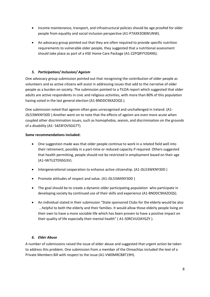- Income maintenance, transport, and infrastructural policies should be age proofed for older people from equality and social inclusion perspective (A1-P7AXX3O8WUNW).
- An advocacy group pointed out that they are often required to provide specific nutrition requirements to vulnerable older people, they suggested that a nutritional assessment should take place as part of a HSE Home Care Package (A1-Z2PQRYY20ANS).

# *5. Participation/ Inclusion/ Ageism*

One advocacy group submission pointed out that recognising the contribution of older people as volunteers and as active citizens will assist in addressing issues that add to the narrative of older people as a burden on society. The submission pointed to a TILDA report which suggested that older adults are active respondents in civic and religious activities, with more than 80% of this population having voted in the last general election (A1-BNDDC9XAZOQS ).

One submission noted that ageism often goes unrecognised and unchallenged in Ireland. (A1- JSL53WKNY30D ) Another went on to note that the effects of ageism are even more acute when coupled other discrimination issues, such as homophobia, sexism, and discrimination on the grounds of a disability (A1- S4Z4FOVSGG7T).

#### **Some recommendations included:**

- One suggestion made was that older people continue to work in a related field well into their retirement, possibly in a part-time or reduced capacity if required. Others suggested that health permitting, people should not be restricted in employment based on their age (A1-IW7U2TENSG3V).
- Intergenerational cooperation to enhance active citizenship. (A1-JSL53WKNY30D)
- Promote attitudes of respect and value. (A1-JSL53WKNY30D )
- The goal should be to create a dynamic older participating population who participate in developing society by continued use of their skills and experience (A1-BNDDC9XAZOQS).
- An individual stated in their submission "State sponsored Clubs for the elderly would be also ...helpful to both the elderly and their families. It would allow those elderly people living on their own to have a more sociable life which has been proven to have a positive impact on their quality of life especially their mental health" ( A1-50RCVUOAYGZY ).

## *6. Elder Abuse*

A number of submissions raised the issue of elder abuse and suggested that urgent action be taken to address this problem. One submission from a member of the Oireachtas included the text of a Private Members Bill with respect to the issue (A1-VW0MRCBBT19H).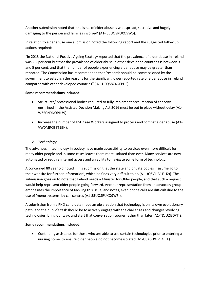Another submission noted that 'the issue of elder abuse is widespread, secretive and hugely damaging to the person and families involved' (A1- 55UOSRUXO9W5).

In relation to elder abuse one submission noted the following report and the suggested follow up actions required:

"In 2013 the National Positive Ageing Strategy reported that the prevalence of elder abuse in Ireland was 2.2 per cent but that the prevalence of elder abuse in other developed countries is between 3 and 5 per cent, and that the number of people experiencing elder abuse may be greater than reported. The Commission has recommended that 'research should be commissioned by the government to establish the reasons for the significant lower reported rate of elder abuse in Ireland compared with other developed countries'"( A1-UFQ5874GEPHS).

# **Some recommendations included:**

- Structures/ professional bodies required to fully implement presumption of capacity enshrined in the Assisted Decision Making Act 2016 must be put in place without delay (A1- WZ50N9NOPH39).
- Increase the number of HSE Case Workers assigned to process and combat elder abuse (A1- VW0MRCBBT19H).

# *7. Technology*

The advances in technology in society have made accessibility to services even more difficult for many older people and in some cases leaves them more isolated than ever. Many services are now automated or require internet access and an ability to navigate some form of technology.

A concerned 80 year old noted in his submission that the state and private bodies insist 'he go to their website for further information', which he finds very difficult to do (A1-3QSV1LVLE1K9). The submission goes on to note that Ireland needs a Minister for Older people, and that such a request would help represent older people going forward. Another representation from an advocacy group emphasises the importance of tackling this issue, and notes, even phone calls are difficult due to the use of 'menu systems' by call centres (A1-55UOSRUXO9W5 ).

A submission from a PHD candidate made an observation that technology is on its own evolutionary path, and the public's task should be to actively engage with the challenges and changes 'evolving technologies' bring our way, and start that conversation sooner rather than later (A1-TDJUZI30PTIZ )

## **Some recommendations included:**

 Continuing assistance for those who are able to use certain technologies prior to entering a nursing home, to ensure older people do not become isolated (A1-USA6HWVE4IIH )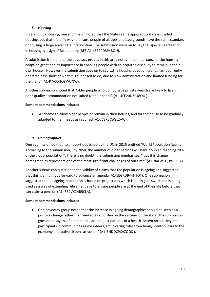# *8. Housing*

In relation to housing, one submission noted that the State seems opposed to state-subsided housing, but that the only way to ensure people of all ages and backgrounds have the same standard of housing is large scale State intervention. The submission went on to say that special segregation in housing is a sign of failed policy (REF A1-4EE20D3P48OU).

A submission from one of the advocacy groups in this area notes "the importance of the housing adaption grant and its importance in enabling people with an acquired disability to remain in their own house". However the submission goes on to say ...the housing adaption grant..."as it currently operates, falls short of what it is supposed to do, due to slow administration and limited funding for the grant" (A1-P7AXX3O8WUNW).

Another submission noted that "older people who do not have private wealth are likely to live in poor-quality accommodation not suited to their needs" (A1-4EE20D3P48OU ).

# **Some recommendations included:**

 A scheme to allow older people or remain in their houses, and for the house to be gradually adapted to their needs as required (A1-JC3XBCBGL2AW).

# *9. Demographics*

One submission pointed to a report published by the UN in 2015 entitled 'World Population Ageing'. According to the submission, "by 2050, the number of older persons will have doubled reaching 20% of the global population". There is no doubt, the submission emphasises, " but this change in demographics represents one of the most significant challenges of our time" (A1-N4LW1QUWE2PA).

Another submission questioned the validity of claims that the population is ageing and suggested that this is a myth put forward to advance an agenda (A1-1EGRD944NTOT). One submission suggested that an ageing population is based on projections which is really guesswork and is being used as a way of extending retirement age to ensure people are at the end of their life before they can claim a pension (A1- 369VK2AB5CLA).

## **Some recommendations included:**

 One advocacy group noted that the increase in ageing demographics should be seen as a positive change rather than viewed as a burden on the systems of the state. The submission goes on to say that "older people are not just patients of a health system rather they are participants in communities as volunteers, act in caring roles from family, contributors to the economy and active citizens as voters" (A1-BNDDC9XAZOQS ).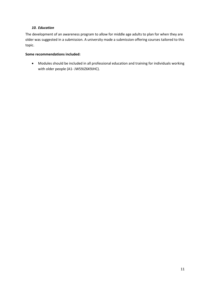#### *10. Education*

The development of an awareness program to allow for middle age adults to plan for when they are older was suggested in a submission. A university made a submission offering courses tailored to this topic.

#### **Some recommendations included:**

 Modules should be included in all professional education and training for individuals working with older people (A1- JW59JZ6K9JHC).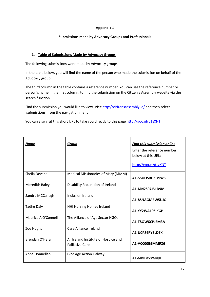#### **Appendix 1**

#### **Submissions made by Advocacy Groups and Professionals**

#### **1. Table of Submissions Made by Advocacy Groups**

The following submissions were made by Advocacy groups.

In the table below, you will find the name of the person who made the submission on behalf of the Advocacy group.

The third column in the table contains a reference number. You can use the reference number or person's name in the first column, to find the submission on the Citizen's Assembly website via the search function.

Find the submission you would like to view. Visi[t http://citizensassembly.ie/](http://citizensassembly.ie/) and then select 'submissions' from the navigation menu.

You can also visit this short URL to take you directly to this page<http://goo.gl/d1zXNT>

| <b>Name</b>         | Group                                                          | <b>Find this submission online</b><br>Enter the reference number<br>below at this URL:<br>http://goo.g]/d1zXNT |
|---------------------|----------------------------------------------------------------|----------------------------------------------------------------------------------------------------------------|
| Sheila Devane       | Medical Missionaries of Mary (MMM)                             | A1-55UOSRUXO9W5                                                                                                |
| Meredith Raley      | Disability Federation of Ireland                               | A1-MN2S07J51D9M                                                                                                |
| Sandra MCCullagh    | Inclusion Ireland                                              | A1-8SNAGMBW5UJC                                                                                                |
| <b>Tadhg Daly</b>   | <b>NHI Nursing Homes Ireland</b>                               | A1-YY2WA10ZIKGP                                                                                                |
| Maurice A O'Connell | The Alliance of Age Sector NGOs                                | A1-T8QWXCPJEM3A                                                                                                |
| Zoe Hughs           | Care Alliance Ireland                                          | A1-U0P84RY5LDEX                                                                                                |
| Brendan O'Hara      | All Ireland Institute of Hospice and<br><b>Palliative Care</b> | A1-VCC00B9MMRZ6                                                                                                |
| Anne Donnellan      | Glór Age Action Galway                                         | A1-6IDIDY2PGN9F                                                                                                |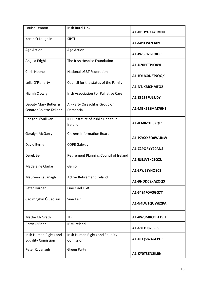| Louise Lennon                                       | <b>Irish Rural Link</b>                       | A1-DBDYG2X4EM0U |
|-----------------------------------------------------|-----------------------------------------------|-----------------|
| Karan O Loughlin                                    | <b>SIPTU</b>                                  | A1-6V1FPAZLAP9T |
| Age Action                                          | Age Action                                    | A1-JW59JZ6K9JHC |
| Angela Edghill                                      | The Irish Hospice Foundation                  | A1-UZ0PFTPJO49J |
| Chris Noone                                         | <b>National LGBT Federation</b>               | A1-HYUC0UET9QQK |
| Lelia O'Flaherty                                    | Council for the status of the Family          | A1-NTJXBICHMFO2 |
| Niamh Clowry                                        | Irish Association For Palliative Care         | A1-ES236FUL8J0Y |
| Deputy Mary Butler &<br>Senator Colette Kellehr     | All-Party Oireachtas Group on<br>Dementia     | A1-MBK51SMM76H1 |
| Rodger O'Sullivan                                   | IPH, Institute of Public Health in<br>Ireland | A1-IFA0M1B5XQL1 |
| Geralyn McGarry                                     | <b>Citizens Information Board</b>             | A1-P7AXX3O8WUNW |
| David Byrne                                         | <b>COPE Galway</b>                            | A1-Z2PQRYY20ANS |
| Derek Bell                                          | Retirement Planning Council of Ireland        | A1-RJE1VTKCZQZU |
| Madeleine Clarke                                    | Genio                                         | A1-LFYJESYHQ8C3 |
| Maureen Kavanagh                                    | <b>Active Retirement Ireland</b>              | A1-BNDDC9XAZOQS |
| Peter Harper                                        | <b>Fine Gael LGBT</b>                         | A1-S4Z4FOVSGG7T |
| Caoimhghin Ó Caoláin                                | Sinn Fein                                     | A1-N4LW1QUWE2PA |
| Mattie McGrath                                      | <b>TD</b>                                     | A1-VW0MRCBBT19H |
| Barry O'Brien                                       | <b>IBM Ireland</b>                            | A1-GYLDJ8739C9E |
| Irish Human Rights and<br><b>Equality Comission</b> | Irish Human Rights and Equality<br>Comission  | A1-UFQ5874GEPHS |
| Peter Kavanagh                                      | <b>Green Party</b>                            | A1-KY0T3EN2ILRN |